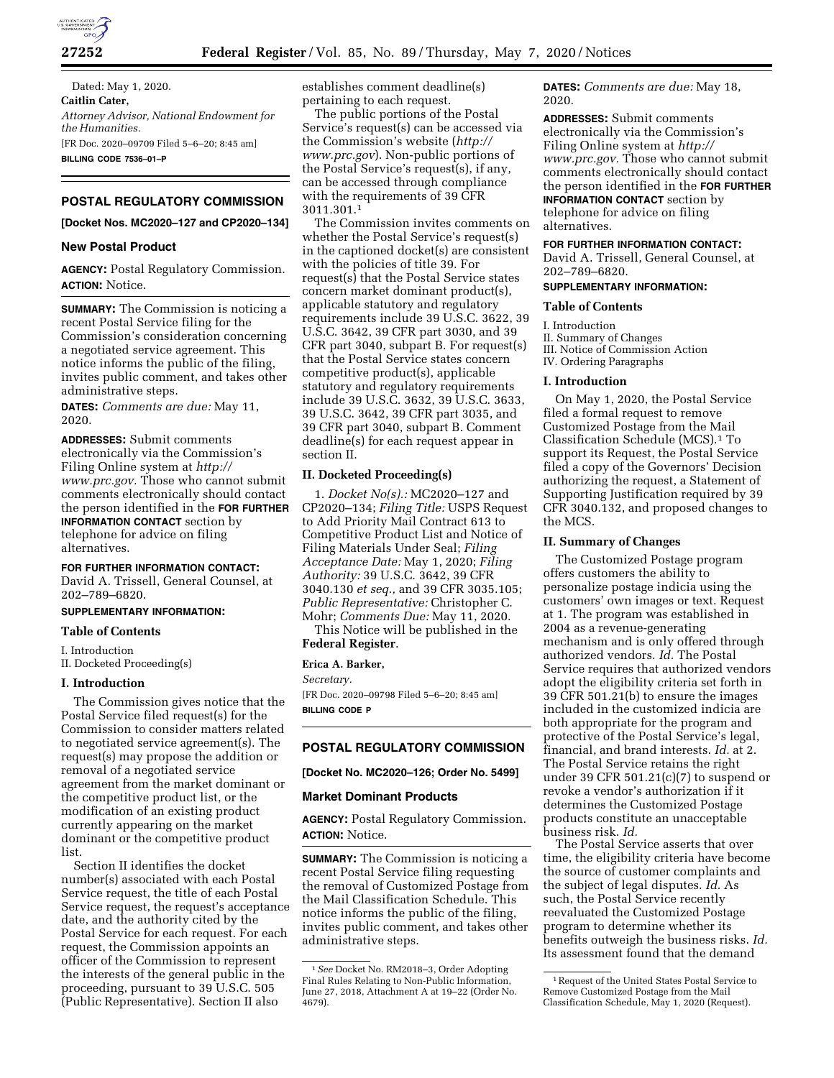

Dated: May 1, 2020. **Caitlin Cater,**  *Attorney Advisor, National Endowment for the Humanities.*  [FR Doc. 2020–09709 Filed 5–6–20; 8:45 am] **BILLING CODE 7536–01–P** 

# **POSTAL REGULATORY COMMISSION**

**[Docket Nos. MC2020–127 and CP2020–134]** 

## **New Postal Product**

**AGENCY:** Postal Regulatory Commission. **ACTION:** Notice.

**SUMMARY:** The Commission is noticing a recent Postal Service filing for the Commission's consideration concerning a negotiated service agreement. This notice informs the public of the filing, invites public comment, and takes other administrative steps.

**DATES:** *Comments are due:* May 11, 2020.

**ADDRESSES:** Submit comments electronically via the Commission's Filing Online system at *[http://](http://www.prc.gov) [www.prc.gov.](http://www.prc.gov)* Those who cannot submit comments electronically should contact the person identified in the **FOR FURTHER INFORMATION CONTACT** section by telephone for advice on filing alternatives.

## **FOR FURTHER INFORMATION CONTACT:**

David A. Trissell, General Counsel, at 202–789–6820.

## **SUPPLEMENTARY INFORMATION:**

#### **Table of Contents**

I. Introduction

II. Docketed Proceeding(s)

## **I. Introduction**

The Commission gives notice that the Postal Service filed request(s) for the Commission to consider matters related to negotiated service agreement(s). The request(s) may propose the addition or removal of a negotiated service agreement from the market dominant or the competitive product list, or the modification of an existing product currently appearing on the market dominant or the competitive product list.

Section II identifies the docket number(s) associated with each Postal Service request, the title of each Postal Service request, the request's acceptance date, and the authority cited by the Postal Service for each request. For each request, the Commission appoints an officer of the Commission to represent the interests of the general public in the proceeding, pursuant to 39 U.S.C. 505 (Public Representative). Section II also

establishes comment deadline(s) pertaining to each request.

The public portions of the Postal Service's request(s) can be accessed via the Commission's website (*[http://](http://www.prc.gov) [www.prc.gov](http://www.prc.gov)*). Non-public portions of the Postal Service's request(s), if any, can be accessed through compliance with the requirements of 39 CFR 3011.301.1

The Commission invites comments on whether the Postal Service's request(s) in the captioned docket(s) are consistent with the policies of title 39. For request(s) that the Postal Service states concern market dominant product(s), applicable statutory and regulatory requirements include 39 U.S.C. 3622, 39 U.S.C. 3642, 39 CFR part 3030, and 39 CFR part 3040, subpart B. For request(s) that the Postal Service states concern competitive product(s), applicable statutory and regulatory requirements include 39 U.S.C. 3632, 39 U.S.C. 3633, 39 U.S.C. 3642, 39 CFR part 3035, and 39 CFR part 3040, subpart B. Comment deadline(s) for each request appear in section II.

## **II. Docketed Proceeding(s)**

1. *Docket No(s).:* MC2020–127 and CP2020–134; *Filing Title:* USPS Request to Add Priority Mail Contract 613 to Competitive Product List and Notice of Filing Materials Under Seal; *Filing Acceptance Date:* May 1, 2020; *Filing Authority:* 39 U.S.C. 3642, 39 CFR 3040.130 *et seq.,* and 39 CFR 3035.105; *Public Representative:* Christopher C. Mohr; *Comments Due:* May 11, 2020. This Notice will be published in the

**Federal Register**.

## **Erica A. Barker,**

*Secretary.* 

[FR Doc. 2020–09798 Filed 5–6–20; 8:45 am] **BILLING CODE P** 

## **POSTAL REGULATORY COMMISSION**

**[Docket No. MC2020–126; Order No. 5499]** 

#### **Market Dominant Products**

**AGENCY:** Postal Regulatory Commission. **ACTION:** Notice.

**SUMMARY:** The Commission is noticing a recent Postal Service filing requesting the removal of Customized Postage from the Mail Classification Schedule. This notice informs the public of the filing, invites public comment, and takes other administrative steps.

**DATES:** *Comments are due:* May 18, 2020.

**ADDRESSES:** Submit comments electronically via the Commission's Filing Online system at *[http://](http://www.prc.gov) [www.prc.gov.](http://www.prc.gov)* Those who cannot submit comments electronically should contact the person identified in the **FOR FURTHER INFORMATION CONTACT** section by telephone for advice on filing alternatives.

#### **FOR FURTHER INFORMATION CONTACT:**

David A. Trissell, General Counsel, at 202–789–6820.

## **SUPPLEMENTARY INFORMATION:**

## **Table of Contents**

I. Introduction II. Summary of Changes III. Notice of Commission Action IV. Ordering Paragraphs

## **I. Introduction**

On May 1, 2020, the Postal Service filed a formal request to remove Customized Postage from the Mail Classification Schedule (MCS).1 To support its Request, the Postal Service filed a copy of the Governors' Decision authorizing the request, a Statement of Supporting Justification required by 39 CFR 3040.132, and proposed changes to the MCS.

## **II. Summary of Changes**

The Customized Postage program offers customers the ability to personalize postage indicia using the customers' own images or text. Request at 1. The program was established in 2004 as a revenue-generating mechanism and is only offered through authorized vendors. *Id.* The Postal Service requires that authorized vendors adopt the eligibility criteria set forth in 39 CFR 501.21(b) to ensure the images included in the customized indicia are both appropriate for the program and protective of the Postal Service's legal, financial, and brand interests. *Id.* at 2. The Postal Service retains the right under 39 CFR 501.21(c)(7) to suspend or revoke a vendor's authorization if it determines the Customized Postage products constitute an unacceptable business risk. *Id.* 

The Postal Service asserts that over time, the eligibility criteria have become the source of customer complaints and the subject of legal disputes. *Id.* As such, the Postal Service recently reevaluated the Customized Postage program to determine whether its benefits outweigh the business risks. *Id.*  Its assessment found that the demand

<sup>1</sup>*See* Docket No. RM2018–3, Order Adopting Final Rules Relating to Non-Public Information, June 27, 2018, Attachment A at 19–22 (Order No. 4679).

<sup>1</sup>Request of the United States Postal Service to Remove Customized Postage from the Mail Classification Schedule, May 1, 2020 (Request).